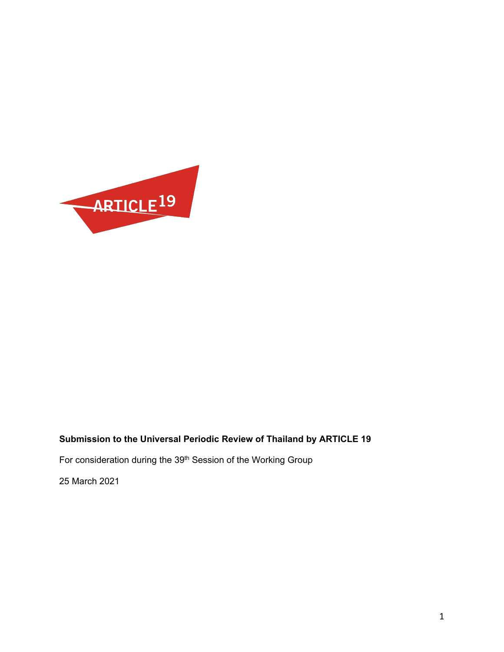

# **Submission to the Universal Periodic Review of Thailand by ARTICLE 19**

For consideration during the 39<sup>th</sup> Session of the Working Group

25 March 2021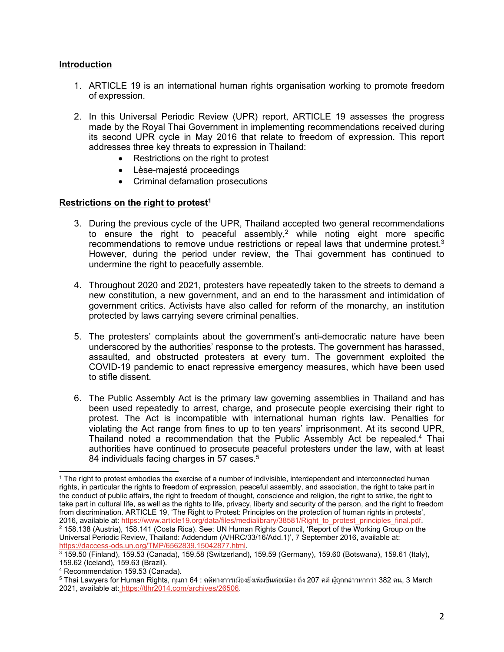## **Introduction**

- 1. ARTICLE 19 is an international human rights organisation working to promote freedom of expression.
- 2. In this Universal Periodic Review (UPR) report, ARTICLE 19 assesses the progress made by the Royal Thai Government in implementing recommendations received during its second UPR cycle in May 2016 that relate to freedom of expression. This report addresses three key threats to expression in Thailand:
	- Restrictions on the right to protest
	- Lèse-majesté proceedings
	- Criminal defamation prosecutions

### **Restrictions on the right to protest 1**

- 3. During the previous cycle of the UPR, Thailand accepted two general recommendations to ensure the right to peaceful assembly, <sup>2</sup> while noting eight more specific recommendations to remove undue restrictions or repeal laws that undermine protest. $^3$ However, during the period under review, the Thai government has continued to undermine the right to peacefully assemble.
- 4. Throughout 2020 and 2021, protesters have repeatedly taken to the streets to demand <sup>a</sup> new constitution, <sup>a</sup> new government, and an end to the harassment and intimidation of government critics. Activists have also called for reform of the monarchy, an institution protected by laws carrying severe criminal penalties.
- 5. The protesters' complaints about the government'<sup>s</sup> anti-democratic nature have been underscored by the authorities' response to the protests. The government has harassed, assaulted, and obstructed protesters at every turn. The government exploited the COVID-19 pandemic to enact repressive emergency measures, which have been used to stifle dissent.
- 6. The Public Assembly Act is the primary law governing assemblies in Thailand and has been used repeatedly to arrest, charge, and prosecute people exercising their right to protest. The Act is incompatible with international human rights law. Penalties for violating the Act range from fines to up to ten years' imprisonment. At its second UPR, Thailand noted a recommendation that the Public Assembly Act be repealed.<sup>4</sup> Thai authorities have continued to prosecute peaceful protesters under the law, with at least 84 individuals facing charges in 57 cases. $^5$

<sup>1</sup> The right to protest embodies the exercise of <sup>a</sup> number of indivisible, interdependent and interconnected human rights, in particular the rights to freedom of expression, peaceful assembly, and association, the right to take part in the conduct of public affairs, the right to freedom of thought, conscience and religion, the right to strike, the right to take part in cultural life, as well as the rights to life, privacy, liberty and security of the person, and the right to freedom from discrimination. ARTICLE 19, 'The Right to Protest: Principles on the protection of human rights in protests', 2016, available at: [https://www.article19.org/data/files/medialibrary/38581/Right\\_to\\_protest\\_principles\\_final.pdf](https://www.article19.org/data/files/medialibrary/38581/Right_to_protest_principles_final.pdf). 2 158.138 (Austria), 158.141 (Costa Rica). See: UN Human Rights Council, 'Report of the Working Group on the Universal Periodic Review, Thailand: Addendum (A/HRC/33/16/Add.1)', 7 September 2016, available at: <https://daccess-ods.un.org/TMP/6562839.15042877.html>.

<sup>3</sup> 159.50 (Finland), 159.53 (Canada), 159.58 (Switzerland), 159.59 (Germany), 159.60 (Botswana), 159.61 (Italy), 159.62 (Iceland), 159.63 (Brazil).

<sup>4</sup> Recommendation 159.53 (Canada).

<sup>5</sup> Thai Lawyers for Human Rights, กุมภา 64 : คดีทางการเมืองยังเพิ่มขึ้นต่อเนื่อง ถึง 207 คดีผู้ถูกกล่าวหากว่า 382 คน, 3 March 2021, available at: [https://tlhr2014.com/archives/26506](https://tlhr2014.com/en/archives/26991).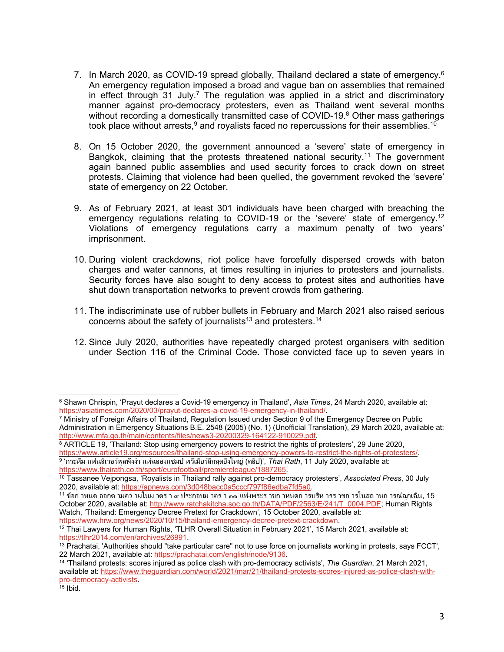- 7.  $\,$  In March 2020, as COVID-19 spread globally, Thailand declared a state of emergency. $^6$ An emergency regulation imposed <sup>a</sup> broad and vague ban on assemblies that remained in effect through 31 July. 7 The regulation was applied in <sup>a</sup> strict and discriminatory manner against pro-democracy protesters, even as Thailand went several months without recording <sup>a</sup> domestically transmitted case of COVID-19. <sup>8</sup> Other mass gatherings took place without arrests, $^9$  and royalists faced no repercussions for their assemblies. $^{10}$
- 8. On 15 October 2020, the government announced <sup>a</sup> 'severe' state of emergency in Bangkok, claiming that the protests threatened national security.<sup>11</sup> The government again banned public assemblies and used security forces to crack down on street protests. Claiming that violence had been quelled, the government revoked the 'severe' state of emergency on 22 October.
- 9. As of February 2021, at least 301 individuals have been charged with breaching the emergency regulations relating to COVID-19 or the 'severe' state of emergency. 12 Violations of emergency regulations carry <sup>a</sup> maximum penalty of two years' imprisonment.
- 10. During violent crackdowns, riot police have forcefully dispersed crowds with baton charges and water cannons, at times resulting in injuries to protesters and journalists. Security forces have also sought to deny access to protest sites and authorities have shut down transportation networks to prevent crowds from gathering.
- 11. The indiscriminate use of rubber bullets in February and March 2021 also raised serious concerns about the safety of journalists $^{\rm 13}$  and protesters. $^{\rm 14}$
- 12. Since July 2020, authorities have repeatedly charged protest organisers with sedition under Section 116 of the Criminal Code. Those convicted face up to seven years in

<sup>6</sup> Shawn Chrispin, 'Prayut declares <sup>a</sup> Covid-19 emergency in Thailand', *Asia Times*, 24 March 2020, available at: <https://asiatimes.com/2020/03/prayut-declares-a-covid-19-emergency-in-thailand/>.

<sup>&</sup>lt;sup>7</sup> Ministry of Foreign Affairs of Thailand, Regulation Issued under Section 9 of the Emergency Decree on Public Administration in Emergency Situations B.E. 2548 (2005) (No. 1) (Unofficial Translation), 29 March 2020, available at: <http://www.mfa.go.th/main/contents/files/news3-20200329-164122-910029.pdf>.

<sup>8</sup> ARTICLE 19, 'Thailand: Stop using emergency powers to restrict the rights of protesters', 29 June 2020, <https://www.article19.org/resources/thailand-stop-using-emergency-powers-to-restrict-the-rights-of-protesters/>. 9 'กระหึ่ม แฟนลิเวอร์พูลพังงำ แห่ฉลองแชมป์พรีเมียร์ลีกสุดยิ่งใหญ่ (คลิป)', *Thai Rath*, <sup>11</sup> July 2020, available at: <https://www.thairath.co.th/sport/eurofootball/premiereleague/1887265>.

<sup>10</sup> Tassanee Vejpongsa, 'Royalists in Thailand rally against pro-democracy protesters', *Associated Press*, 30 July 2020, available at: <https://apnews.com/3d048bacc0a5cccf797f86edba7fd5a0>.

<sup>11</sup> ข้อก าหนด ออกต ามคว ามในม าตร <sup>า</sup> <sup>๙</sup> ประกอบม าตร <sup>า</sup> <sup>๑๑</sup> แห่งพระร าชก าหนดก ารบริห ารร าชก ารในสถ านก ารณ์ฉุกเฉิน, <sup>15</sup> October 2020, available at: [http://www.ratchakitcha.soc.go.th/DATA/PDF/2563/E/241/T\\_0004.PDF](http://www.ratchakitcha.soc.go.th/DATA/PDF/2563/E/241/T_0004.PDF); Human Rights Watch, 'Thailand: Emergency Decree Pretext for Crackdown', 15 October 2020, available at: <https://www.hrw.org/news/2020/10/15/thailand-emergency-decree-pretext-crackdown>.

 $^\mathrm{12}$  Thai Lawyers for Human Rights, 'TLHR Overall Situation in February 2021', 15 March 2021, available at: <https://tlhr2014.com/en/archives/26991>.

<sup>&</sup>lt;sup>13</sup> Prachatai, 'Authorities should "take particular care" not to use force on journalists working in protests, says FCCT', 22 March 2021, available at: <https://prachatai.com/english/node/9136>.

<sup>14</sup> 'Thailand protests: scores injured as police clash with pro-democracy activists', *The Guardian*, 21 March 2021, available at: [https://www.theguardian.com/world/2021/mar/21/thailand-protests-scores-injured-as-police-clash-with](https://www.theguardian.com/world/2021/mar/21/thailand-protests-scores-injured-as-police-clash-with-pro-democracy-activists)[pro-democracy-activists](https://www.theguardian.com/world/2021/mar/21/thailand-protests-scores-injured-as-police-clash-with-pro-democracy-activists).<br><sup>15</sup> Ibid.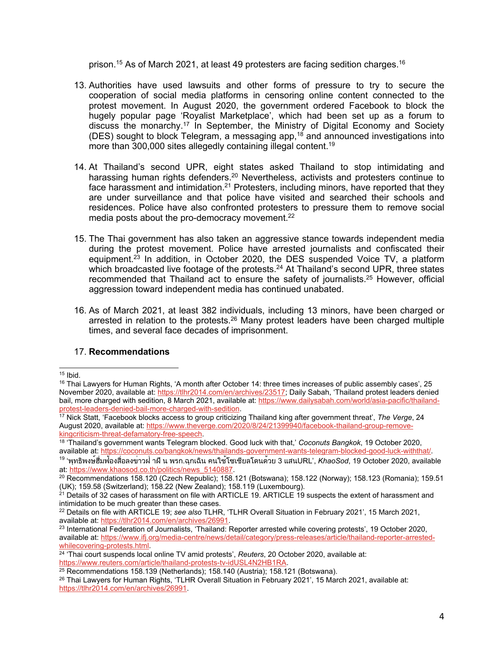prison.<sup>15</sup> As of March 2021, at least 49 protesters are facing sedition charges.<sup>16</sup>

- 13. Authorities have used lawsuits and other forms of pressure to try to secure the cooperation of social media platforms in censoring online content connected to the protest movement. In August 2020, the government ordered Facebook to block the hugely popular page 'Royalist Marketplace', which had been set up as <sup>a</sup> forum to discuss the monarchy.<sup>17</sup> In September, the Ministry of Digital Economy and Society (DES) sought to block Telegram, a messaging app,<sup>18</sup> and announced investigations into more than 300,000 sites allegedly containing illegal content. 19
- 14. At Thailand'<sup>s</sup> second UPR, eight states asked Thailand to stop intimidating and harassing human rights defenders.<sup>20</sup> Nevertheless, activists and protesters continue to face harassment and intimidation.<sup>21</sup> Protesters, including minors, have reported that they are under surveillance and that police have visited and searched their schools and residences. Police have also confronted protesters to pressure them to remove social media posts about the pro-democracy movement. 22
- 15. The Thai government has also taken an aggressive stance towards independent media during the protest movement. Police have arrested journalists and confiscated their equipment.<sup>23</sup> In addition, in October 2020, the DES suspended Voice TV, a platform which broadcasted live footage of the protests. <sup>24</sup> At Thailand'<sup>s</sup> second UPR, three states recommended that Thailand act to ensure the safety of journalists.<sup>25</sup> However, official aggression toward independent media has continued unabated.
- 16. As of March 2021, at least 382 individuals, including 13 minors, have been charged or arrested in relation to the protests.<sup>26</sup> Many protest leaders have been charged multiple times, and several face decades of imprisonment.

## 17. **Recommendations**

<sup>&</sup>lt;sup>15</sup> Ibid.

<sup>&</sup>lt;sup>16</sup> Thai Lawyers for Human Rights, 'A month after October 14: three times increases of public assembly cases', 25 November 2020, available at: <https://tlhr2014.com/en/archives/23517>; Daily Sabah, 'Thailand protest leaders denied bail, more charged with sedition, 8 March 2021, available at: [https://www.dailysabah.com/world/asia-pacific/thailand](https://www.dailysabah.com/world/asia-pacific/thailand-protest-leaders-denied-bail-more-charged-with-sedition)[protest-leaders-denied-bail-more-charged-with-sedition](https://www.dailysabah.com/world/asia-pacific/thailand-protest-leaders-denied-bail-more-charged-with-sedition).

<sup>17</sup> Nick Statt, 'Facebook blocks access to group criticizing Thailand king after government threat', *The Verge*, 24 August 2020, available at: [https://www.theverge.com/2020/8/24/21399940/facebook-thailand-group-remove](https://www.theverge.com/2020/8/24/21399940/facebook-thailand-group-remove-kingcriticism-threat-defamatory-free-speech)[kingcriticism-threat-defamatory-free-speech](https://www.theverge.com/2020/8/24/21399940/facebook-thailand-group-remove-kingcriticism-threat-defamatory-free-speech).

<sup>18</sup> 'Thailand'<sup>s</sup> government wants Telegram blocked. Good luck with that,' *Coconuts Bangkok*, 19 October 2020, available at: <https://coconuts.co/bangkok/news/thailands-government-wants-telegram-blocked-good-luck-withthat/>.

<sup>19</sup> 'พุทธิพงษ์ฮึ่มฟ้องสื่อลงข่าวฝ่ าฝืน พรก.ฉุกเฉิน คนใช้โซเชียลโดนด้วย <sup>3</sup> แสนURL', *KhaoSod*, <sup>19</sup> October 2020, available at: [https://www.khaosod.co.th/politics/news\\_5140887](https://www.khaosod.co.th/politics/news_5140887).

<sup>20</sup> Recommendations 158.120 (Czech Republic); 158.121 (Botswana); 158.122 (Norway); 158.123 (Romania); 159.51 (UK); 159.58 (Switzerland); 158.22 (New Zealand); 158.119 (Luxembourg).

 $^{21}$  Details of 32 cases of harassment on file with ARTICLE 19. ARTICLE 19 suspects the extent of harassment and intimidation to be much greater than these cases.

<sup>22</sup> Details on file with ARTICLE 19; *see also* TLHR, 'TLHR Overall Situation in February 2021', 15 March 2021, available at: <https://tlhr2014.com/en/archives/26991>.

 $^{23}$  International Federation of Journalists, 'Thailand: Reporter arrested while covering protests', 19 October 2020, available at: [https://www.ifj.org/media-centre/news/detail/category/press-releases/article/thailand-reporter-arrested](https://www.ifj.org/media-centre/news/detail/category/press-releases/article/thailand-reporter-arrested-whilecovering-protests.html)[whilecovering-protests.html](https://www.ifj.org/media-centre/news/detail/category/press-releases/article/thailand-reporter-arrested-whilecovering-protests.html).

<sup>24</sup> 'Thai court suspends local online TV amid protests', *Reuters*, 20 October 2020, available at: <https://www.reuters.com/article/thailand-protests-tv-idUSL4N2HB1RA>.

 $^{25}$  Recommendations 158.139 (Netherlands); 158.140 (Austria); 158.121 (Botswana).

<sup>&</sup>lt;sup>26</sup> Thai Lawyers for Human Rights, 'TLHR Overall Situation in February 2021', 15 March 2021, available at: <https://tlhr2014.com/en/archives/26991>.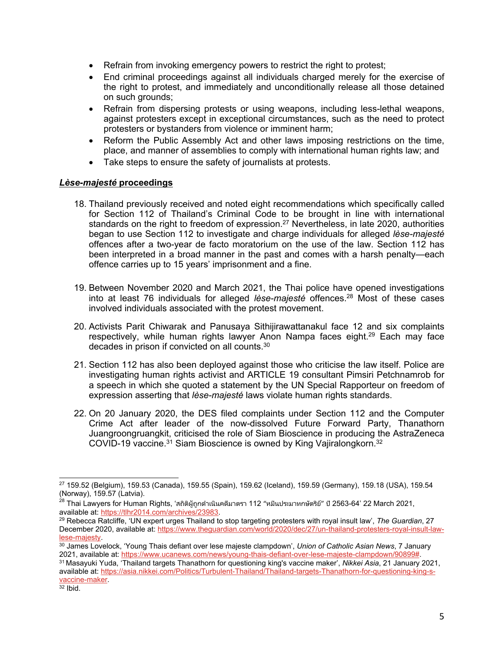- Refrain from invoking emergency powers to restrict the right to protest;
- End criminal proceedings against all individuals charged merely for the exercise of the right to protest, and immediately and unconditionally release all those detained on such grounds;
- Refrain from dispersing protests or using weapons, including less-lethal weapons, against protesters except in exceptional circumstances, such as the need to protect protesters or bystanders from violence or imminent harm;
- Reform the Public Assembly Act and other laws imposing restrictions on the time, place, and manner of assemblies to comply with international human rights law; and
- Take steps to ensure the safety of journalists at protests.

### *Lèse-majesté* **proceedings**

- 18. Thailand previously received and noted eight recommendations which specifically called for Section 112 of Thailand'<sup>s</sup> Criminal Code to be brought in line with international standards on the right to freedom of expression. <sup>27</sup> Nevertheless, in late 2020, authorities began to use Section 112 to investigate and charge individuals for alleged *lèse-majesté* offences after <sup>a</sup> two-year de facto moratorium on the use of the law. Section 112 has been interpreted in <sup>a</sup> broad manner in the past and comes with <sup>a</sup> harsh penalty—each offence carries up to 15 years' imprisonment and <sup>a</sup> fine.
- 19. Between November 2020 and March 2021, the Thai police have opened investigations into at least 76 individuals for alleged *lèse-majesté* offences. <sup>28</sup> Most of these cases involved individuals associated with the protest movement.
- 20. Activists Parit Chiwarak and Panusaya Sithijirawattanakul face 12 and six complaints respectively, while human rights lawyer Anon Nampa faces eight. <sup>29</sup> Each may face decades in prison if convicted on all counts. $^{\rm 30}$
- 21. Section 112 has also been deployed against those who criticise the law itself. Police are investigating human rights activist and ARTICLE 19 consultant Pimsiri Petchnamrob for <sup>a</sup> speech in which she quoted <sup>a</sup> statement by the UN Special Rapporteur on freedom of expression asserting that *lèse-majesté* laws violate human rights standards.
- 22. On 20 January 2020, the DES filed complaints under Section 112 and the Computer Crime Act after leader of the now-dissolved Future Forward Party, Thanathorn Juangroongruangkit, criticised the role of Siam Bioscience in producing the AstraZeneca COVID-19 vaccine.<sup>31</sup> Siam Bioscience is owned by King Vajiralongkorn.<sup>32</sup>

<sup>27</sup> 159.52 (Belgium), 159.53 (Canada), 159.55 (Spain), 159.62 (Iceland), 159.59 (Germany), 159.18 (USA), 159.54 (Norway), 159.57 (Latvia).

<sup>&</sup>lt;sup>28</sup> Thai Lawyers for Human Rights, 'สถิติผู้ถูกดำเนินคดีมาตรา 112 "หมีนประมาทกษัตริย์" ปี 2563-64' 22 March 2021, available at: <https://tlhr2014.com/archives/23983>.

<sup>29</sup> Rebecca Ratcliffe, 'UN expert urges Thailand to stop targeting protesters with royal insult law', *The Guardian*, 27 December 2020, available at: [https://www.theguardian.com/world/2020/dec/27/un-thailand-protesters-royal-insult-law](https://www.theguardian.com/world/2020/dec/27/un-thailand-protesters-royal-insult-law-lese-majesty)[lese-majesty](https://www.theguardian.com/world/2020/dec/27/un-thailand-protesters-royal-insult-law-lese-majesty).

<sup>30</sup> James Lovelock, 'Young Thais defiant over lese majeste clampdown', *Union of Catholic Asian News*, 7 January 2021, available at: [https://www.ucanews.com/news/young-thais-defiant-over-lese-majeste-clampdown/90899#](https://www.ucanews.com/news/young-thais-defiant-over-lese-majeste-clampdown/90899).

<sup>31</sup> Masayuki Yuda, 'Thailand targets Thanathorn for questioning king's vaccine maker', *Nikkei Asia*, 21 January 2021, available at: [https://asia.nikkei.com/Politics/Turbulent-Thailand/Thailand-targets-Thanathorn-for-questioning-king-s](https://asia.nikkei.com/Politics/Turbulent-Thailand/Thailand-targets-Thanathorn-for-questioning-king-s-vaccine-maker)[vaccine-maker](https://asia.nikkei.com/Politics/Turbulent-Thailand/Thailand-targets-Thanathorn-for-questioning-king-s-vaccine-maker).

<sup>&</sup>lt;sup>32</sup> Ibid.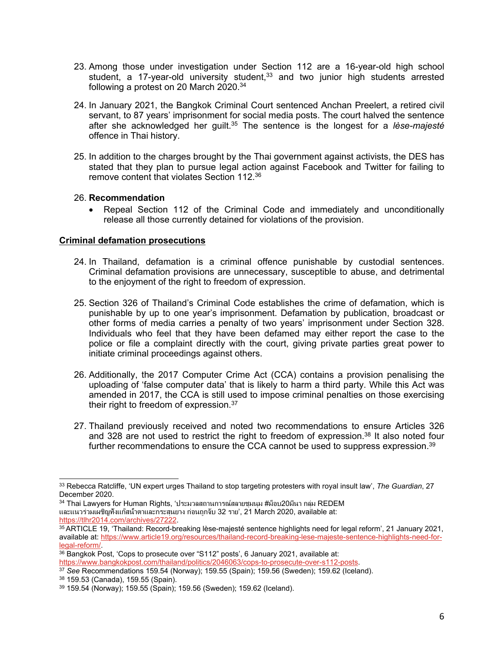- 23. Among those under investigation under Section 112 are <sup>a</sup> 16-year-old high school student, a 17-year-old university student,<sup>33</sup> and two junior high students arrested following <sup>a</sup> protest on 20 March 2020. 34
- 24. In January 2021, the Bangkok Criminal Court sentenced Anchan Preelert, <sup>a</sup> retired civil servant, to 87 years' imprisonment for social media posts. The court halved the sentence after she acknowledged her guilt. 35 The sentence is the longest for <sup>a</sup> *lèse-majesté* offence in Thai history.
- 25. In addition to the charges brought by the Thai government against activists, the DES has stated that they plan to pursue legal action against Facebook and Twitter for failing to remove content that violates Section 112. 36

### 26. **Recommendation**

 Repeal Section 112 of the Criminal Code and immediately and unconditionally release all those currently detained for violations of the provision.

### **Criminal defamation prosecutions**

- 24. In Thailand, defamation is <sup>a</sup> criminal offence punishable by custodial sentences. Criminal defamation provisions are unnecessary, susceptible to abuse, and detrimental to the enjoyment of the right to freedom of expression.
- 25. Section 326 of Thailand'<sup>s</sup> Criminal Code establishes the crime of defamation, which is punishable by up to one year'<sup>s</sup> imprisonment. Defamation by publication, broadcast or other forms of media carries <sup>a</sup> penalty of two years' imprisonment under Section 328. Individuals who feel that they have been defamed may either report the case to the police or file <sup>a</sup> complaint directly with the court, giving private parties great power to initiate criminal proceedings against others.
- 26. Additionally, the 2017 Computer Crime Act (CCA) contains <sup>a</sup> provision penalising the uploading of 'false computer data' that is likely to harm <sup>a</sup> third party. While this Act was amended in 2017, the CCA is still used to impose criminal penalties on those exercising their right to freedom of expression.<sup>37</sup>
- 27. Thailand previously received and noted two recommendations to ensure Articles 326 and 328 are not used to restrict the right to freedom of expression.<sup>38</sup> It also noted four further recommendations to ensure the CCA cannot be used to suppress expression. 39

<sup>34</sup> Thai Lawyers for Human Rights, 'ประมวลสถานการณ์สลายชุมนุม #ม็อบ20มีนา กลุ่ม REDEM และแนวร่วมเผชิญทั้งแก๊สน้ำตาและกระสุนยาง ก่อนถูกจับ 32 ราย', <sup>21</sup> March 2020, available at: <https://tlhr2014.com/archives/27222>.

<sup>36</sup> Bangkok Post, 'Cops to prosecute over "S112" posts', 6 January 2021, available at: <https://www.bangkokpost.com/thailand/politics/2046063/cops-to-prosecute-over-s112-posts>.

<sup>37</sup> *See* Recommendations 159.54 (Norway); 159.55 (Spain); 159.56 (Sweden); 159.62 (Iceland).

<sup>38</sup> 159.53 (Canada), 159.55 (Spain).

<sup>33</sup> Rebecca Ratcliffe, 'UN expert urges Thailand to stop targeting protesters with royal insult law', *The Guardian*, 27 December 2020.

<sup>35</sup> ARTICLE 19, 'Thailand: Record-breaking lèse-majesté sentence highlights need for legal reform', 21 January 2021, available at: [https://www.article19.org/resources/thailand-record-breaking-lese-majeste-sentence-highlights-need-for](https://www.article19.org/resources/thailand-record-breaking-lese-majeste-sentence-highlights-need-for-legal-reform/)[legal-reform/](https://www.article19.org/resources/thailand-record-breaking-lese-majeste-sentence-highlights-need-for-legal-reform/).

<sup>39</sup> 159.54 (Norway); 159.55 (Spain); 159.56 (Sweden); 159.62 (Iceland).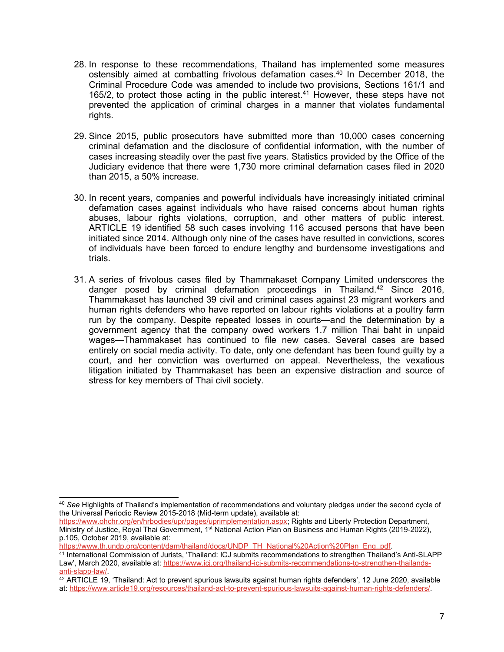- 28. In response to these recommendations, Thailand has implemented some measures ostensibly aimed at combatting frivolous defamation cases. 40 In December 2018, the Criminal Procedure Code was amended to include two provisions, Sections 161/1 and 165/2, to protect those acting in the public interest. <sup>41</sup> However, these steps have not prevented the application of criminal charges in <sup>a</sup> manner that violates fundamental rights.
- 29. Since 2015, public prosecutors have submitted more than 10,000 cases concerning criminal defamation and the disclosure of confidential information, with the number of cases increasing steadily over the past five years. Statistics provided by the Office of the Judiciary evidence that there were 1,730 more criminal defamation cases filed in 2020 than 2015, <sup>a</sup> 50% increase.
- 30. In recent years, companies and powerful individuals have increasingly initiated criminal defamation cases against individuals who have raised concerns about human rights abuses, labour rights violations, corruption, and other matters of public interest. ARTICLE 19 identified 58 such cases involving 116 accused persons that have been initiated since 2014. Although only nine of the cases have resulted in convictions, scores of individuals have been forced to endure lengthy and burdensome investigations and trials.
- 31. A series of frivolous cases filed by Thammakaset Company Limited underscores the danger posed by criminal defamation proceedings in Thailand. <sup>42</sup> Since 2016, Thammakaset has launched 39 civil and criminal cases against 23 migrant workers and human rights defenders who have reported on labour rights violations at <sup>a</sup> poultry farm run by the company. Despite repeated losses in courts—and the determination by <sup>a</sup> government agency that the company owed workers 1.7 million Thai baht in unpaid wages—Thammakaset has continued to file new cases. Several cases are based entirely on social media activity. To date, only one defendant has been found guilty by <sup>a</sup> court, and her conviction was overturned on appeal. Nevertheless, the vexatious litigation initiated by Thammakaset has been an expensive distraction and source of stress for key members of Thai civil society.

[https://www.th.undp.org/content/dam/thailand/docs/UNDP\\_TH\\_National%20Action%20Plan\\_Eng..pdf](https://www.th.undp.org/content/dam/thailand/docs/UNDP_TH_National%2520Action%2520Plan_Eng..pdf).

<sup>40</sup> *See* Highlights of Thailand'<sup>s</sup> implementation of recommendations and voluntary pledges under the second cycle of the Universal Periodic Review 2015-2018 (Mid-term update), available at:

<https://www.ohchr.org/en/hrbodies/upr/pages/uprimplementation.aspx>; Rights and Liberty Protection Department, Ministry of Justice, Royal Thai Government, 1<sup>st</sup> National Action Plan on Business and Human Rights (2019-2022), p.105, October 2019, available at:

<sup>41</sup> International Commission of Jurists, 'Thailand: ICJ submits recommendations to strengthen Thailand'<sup>s</sup> Anti-SLAPP Law', March 2020, available at: [https://www.icj.org/thailand-icj-submits-recommendations-to-strengthen-thailands](https://www.icj.org/thailand-icj-submits-recommendations-to-strengthen-thailands-anti-slapp-law/)[anti-slapp-law/](https://www.icj.org/thailand-icj-submits-recommendations-to-strengthen-thailands-anti-slapp-law/).

 $42$  ARTICLE 19, 'Thailand: Act to prevent spurious lawsuits against human rights defenders', 12 June 2020, available at: <https://www.article19.org/resources/thailand-act-to-prevent-spurious-lawsuits-against-human-rights-defenders/>.